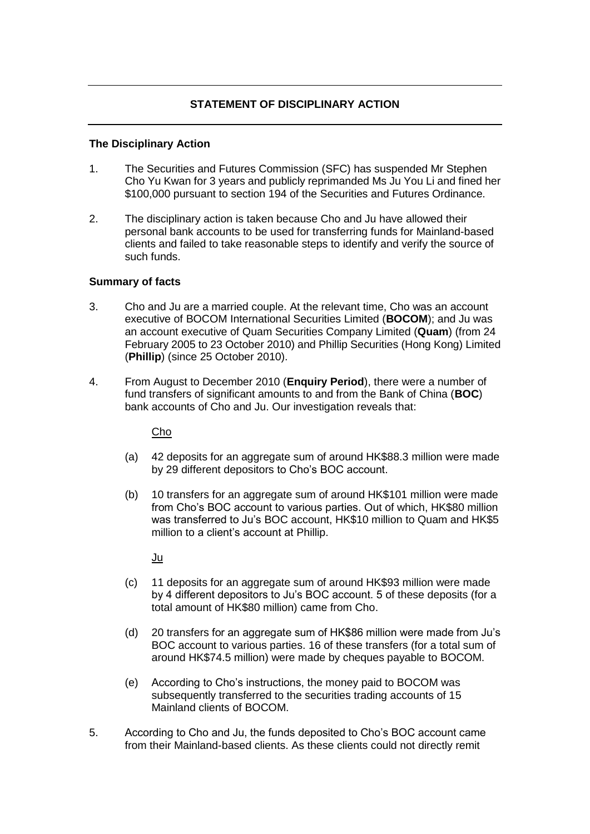# **STATEMENT OF DISCIPLINARY ACTION**

#### **The Disciplinary Action**

- 1. The Securities and Futures Commission (SFC) has suspended Mr Stephen Cho Yu Kwan for 3 years and publicly reprimanded Ms Ju You Li and fined her \$100,000 pursuant to section 194 of the Securities and Futures Ordinance.
- 2. The disciplinary action is taken because Cho and Ju have allowed their personal bank accounts to be used for transferring funds for Mainland-based clients and failed to take reasonable steps to identify and verify the source of such funds.

### **Summary of facts**

- 3. Cho and Ju are a married couple. At the relevant time, Cho was an account executive of BOCOM International Securities Limited (**BOCOM**); and Ju was an account executive of Quam Securities Company Limited (**Quam**) (from 24 February 2005 to 23 October 2010) and Phillip Securities (Hong Kong) Limited (**Phillip**) (since 25 October 2010).
- 4. From August to December 2010 (**Enquiry Period**), there were a number of fund transfers of significant amounts to and from the Bank of China (**BOC**) bank accounts of Cho and Ju. Our investigation reveals that:

Cho

- (a) 42 deposits for an aggregate sum of around HK\$88.3 million were made by 29 different depositors to Cho's BOC account.
- (b) 10 transfers for an aggregate sum of around HK\$101 million were made from Cho's BOC account to various parties. Out of which, HK\$80 million was transferred to Ju's BOC account, HK\$10 million to Quam and HK\$5 million to a client's account at Phillip.

Ju

- (c) 11 deposits for an aggregate sum of around HK\$93 million were made by 4 different depositors to Ju's BOC account. 5 of these deposits (for a total amount of HK\$80 million) came from Cho.
- (d) 20 transfers for an aggregate sum of HK\$86 million were made from Ju's BOC account to various parties. 16 of these transfers (for a total sum of around HK\$74.5 million) were made by cheques payable to BOCOM.
- (e) According to Cho's instructions, the money paid to BOCOM was subsequently transferred to the securities trading accounts of 15 Mainland clients of BOCOM.
- 5. According to Cho and Ju, the funds deposited to Cho's BOC account came from their Mainland-based clients. As these clients could not directly remit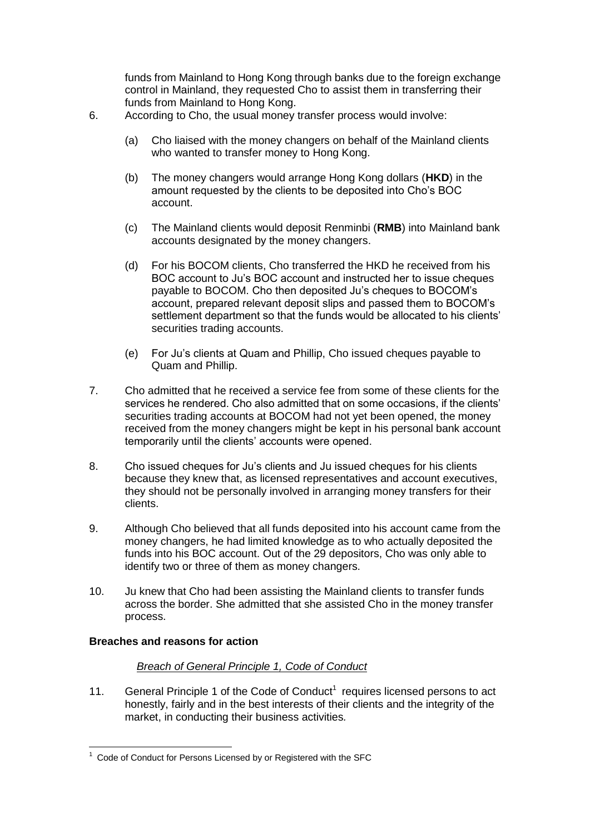funds from Mainland to Hong Kong through banks due to the foreign exchange control in Mainland, they requested Cho to assist them in transferring their funds from Mainland to Hong Kong.

- 6. According to Cho, the usual money transfer process would involve:
	- (a) Cho liaised with the money changers on behalf of the Mainland clients who wanted to transfer money to Hong Kong.
	- (b) The money changers would arrange Hong Kong dollars (**HKD**) in the amount requested by the clients to be deposited into Cho's BOC account.
	- (c) The Mainland clients would deposit Renminbi (**RMB**) into Mainland bank accounts designated by the money changers.
	- (d) For his BOCOM clients, Cho transferred the HKD he received from his BOC account to Ju's BOC account and instructed her to issue cheques payable to BOCOM. Cho then deposited Ju's cheques to BOCOM's account, prepared relevant deposit slips and passed them to BOCOM's settlement department so that the funds would be allocated to his clients' securities trading accounts.
	- (e) For Ju's clients at Quam and Phillip, Cho issued cheques payable to Quam and Phillip.
- 7. Cho admitted that he received a service fee from some of these clients for the services he rendered. Cho also admitted that on some occasions, if the clients' securities trading accounts at BOCOM had not yet been opened, the money received from the money changers might be kept in his personal bank account temporarily until the clients' accounts were opened.
- 8. Cho issued cheques for Ju's clients and Ju issued cheques for his clients because they knew that, as licensed representatives and account executives, they should not be personally involved in arranging money transfers for their clients.
- 9. Although Cho believed that all funds deposited into his account came from the money changers, he had limited knowledge as to who actually deposited the funds into his BOC account. Out of the 29 depositors, Cho was only able to identify two or three of them as money changers.
- 10. Ju knew that Cho had been assisting the Mainland clients to transfer funds across the border. She admitted that she assisted Cho in the money transfer process.

### **Breaches and reasons for action**

1

### *Breach of General Principle 1, Code of Conduct*

11. General Principle 1 of the Code of Conduct<sup>1</sup> requires licensed persons to act honestly, fairly and in the best interests of their clients and the integrity of the market, in conducting their business activities*.*

 $1$  Code of Conduct for Persons Licensed by or Registered with the SFC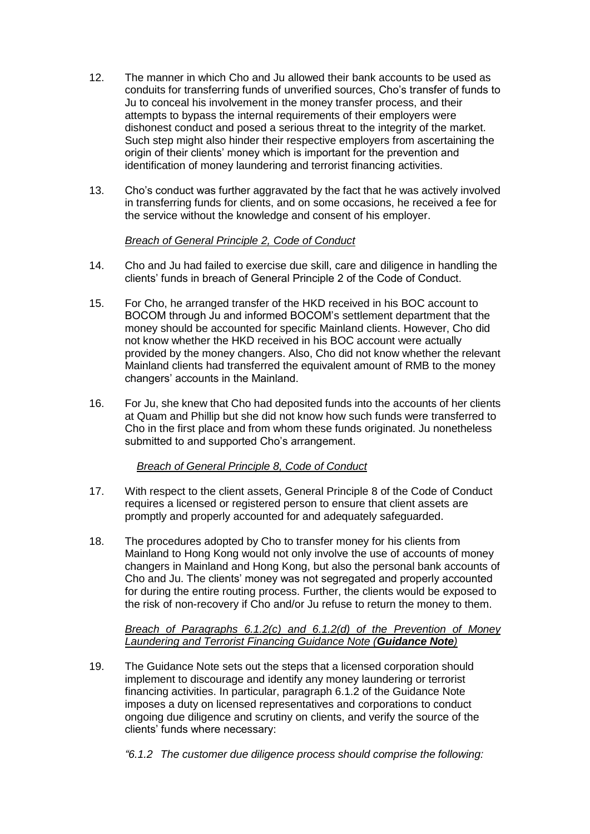- 12. The manner in which Cho and Ju allowed their bank accounts to be used as conduits for transferring funds of unverified sources, Cho's transfer of funds to Ju to conceal his involvement in the money transfer process, and their attempts to bypass the internal requirements of their employers were dishonest conduct and posed a serious threat to the integrity of the market. Such step might also hinder their respective employers from ascertaining the origin of their clients' money which is important for the prevention and identification of money laundering and terrorist financing activities.
- 13. Cho's conduct was further aggravated by the fact that he was actively involved in transferring funds for clients, and on some occasions, he received a fee for the service without the knowledge and consent of his employer.

## *Breach of General Principle 2, Code of Conduct*

- 14. Cho and Ju had failed to exercise due skill, care and diligence in handling the clients' funds in breach of General Principle 2 of the Code of Conduct.
- 15. For Cho, he arranged transfer of the HKD received in his BOC account to BOCOM through Ju and informed BOCOM's settlement department that the money should be accounted for specific Mainland clients. However, Cho did not know whether the HKD received in his BOC account were actually provided by the money changers. Also, Cho did not know whether the relevant Mainland clients had transferred the equivalent amount of RMB to the money changers' accounts in the Mainland.
- 16. For Ju, she knew that Cho had deposited funds into the accounts of her clients at Quam and Phillip but she did not know how such funds were transferred to Cho in the first place and from whom these funds originated. Ju nonetheless submitted to and supported Cho's arrangement.

### *Breach of General Principle 8, Code of Conduct*

- 17. With respect to the client assets, General Principle 8 of the Code of Conduct requires a licensed or registered person to ensure that client assets are promptly and properly accounted for and adequately safeguarded.
- 18. The procedures adopted by Cho to transfer money for his clients from Mainland to Hong Kong would not only involve the use of accounts of money changers in Mainland and Hong Kong, but also the personal bank accounts of Cho and Ju. The clients' money was not segregated and properly accounted for during the entire routing process. Further, the clients would be exposed to the risk of non-recovery if Cho and/or Ju refuse to return the money to them.

### *Breach of Paragraphs 6.1.2(c) and 6.1.2(d) of the Prevention of Money Laundering and Terrorist Financing Guidance Note (Guidance Note)*

- 19. The Guidance Note sets out the steps that a licensed corporation should implement to discourage and identify any money laundering or terrorist financing activities. In particular, paragraph 6.1.2 of the Guidance Note imposes a duty on licensed representatives and corporations to conduct ongoing due diligence and scrutiny on clients, and verify the source of the clients' funds where necessary:
	- *"6.1.2 The customer due diligence process should comprise the following:*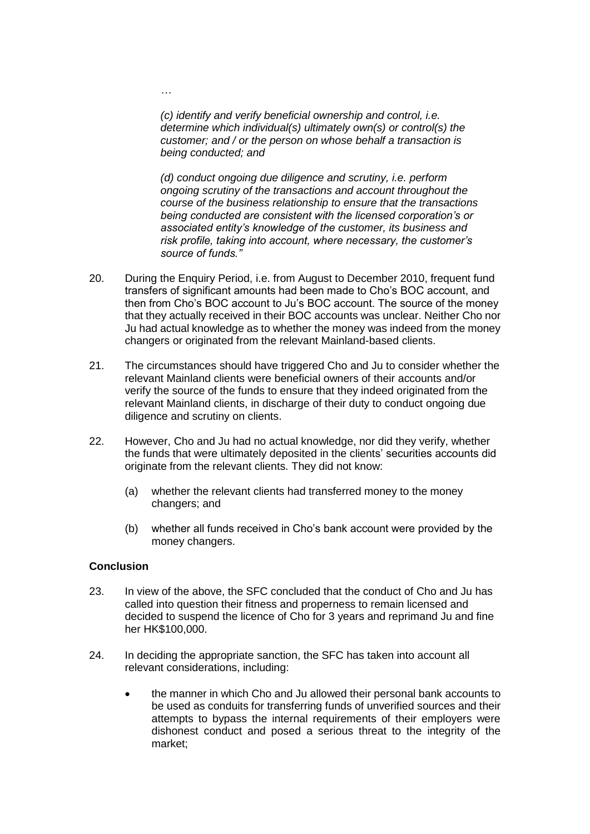*(c) identify and verify beneficial ownership and control, i.e. determine which individual(s) ultimately own(s) or control(s) the customer; and / or the person on whose behalf a transaction is being conducted; and* 

*(d) conduct ongoing due diligence and scrutiny, i.e. perform ongoing scrutiny of the transactions and account throughout the course of the business relationship to ensure that the transactions being conducted are consistent with the licensed corporation's or associated entity's knowledge of the customer, its business and risk profile, taking into account, where necessary, the customer's source of funds."* 

- 20. During the Enquiry Period, i.e. from August to December 2010, frequent fund transfers of significant amounts had been made to Cho's BOC account, and then from Cho's BOC account to Ju's BOC account. The source of the money that they actually received in their BOC accounts was unclear. Neither Cho nor Ju had actual knowledge as to whether the money was indeed from the money changers or originated from the relevant Mainland-based clients.
- 21. The circumstances should have triggered Cho and Ju to consider whether the relevant Mainland clients were beneficial owners of their accounts and/or verify the source of the funds to ensure that they indeed originated from the relevant Mainland clients, in discharge of their duty to conduct ongoing due diligence and scrutiny on clients.
- 22. However, Cho and Ju had no actual knowledge, nor did they verify, whether the funds that were ultimately deposited in the clients' securities accounts did originate from the relevant clients. They did not know:
	- (a) whether the relevant clients had transferred money to the money changers; and
	- (b) whether all funds received in Cho's bank account were provided by the money changers.

### **Conclusion**

*…*

- 23. In view of the above, the SFC concluded that the conduct of Cho and Ju has called into question their fitness and properness to remain licensed and decided to suspend the licence of Cho for 3 years and reprimand Ju and fine her HK\$100,000.
- 24. In deciding the appropriate sanction, the SFC has taken into account all relevant considerations, including:
	- the manner in which Cho and Ju allowed their personal bank accounts to be used as conduits for transferring funds of unverified sources and their attempts to bypass the internal requirements of their employers were dishonest conduct and posed a serious threat to the integrity of the market;